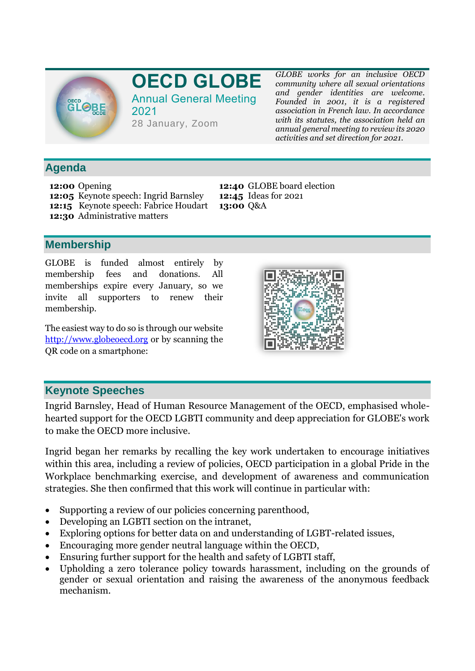

# **OECD GLOBE** Annual General Meeting

2021 28 January, Zoom *GLOBE works for an inclusive OECD community where all sexual orientations and gender identities are welcome. Founded in 2001, it is a registered association in French law. In accordance with its statutes, the association held an annual general meeting to review its 2020 activities and set direction for 2021.*

### **Agenda**

**12:00** Opening **12:05** Keynote speech: Ingrid Barnsley **12:15** Keynote speech: Fabrice Houdart **12:30** Administrative matters

**12:40** GLOBE board election **12:45** Ideas for 2021 **13:00** Q&A

### **Membership**

GLOBE is funded almost entirely by membership fees and donations. All memberships expire every January, so we invite all supporters to renew their membership.

The easiest way to do so is through our website [http://www.globeoecd.org](http://www.globeoecd.org/) or by scanning the QR code on a smartphone:



### **Keynote Speeches**

Ingrid Barnsley, Head of Human Resource Management of the OECD, emphasised wholehearted support for the OECD LGBTI community and deep appreciation for GLOBE's work to make the OECD more inclusive.

Ingrid began her remarks by recalling the key work undertaken to encourage initiatives within this area, including a review of policies, OECD participation in a global Pride in the Workplace benchmarking exercise, and development of awareness and communication strategies. She then confirmed that this work will continue in particular with:

- Supporting a review of our policies concerning parenthood,
- Developing an LGBTI section on the intranet,
- Exploring options for better data on and understanding of LGBT-related issues,
- Encouraging more gender neutral language within the OECD,
- Ensuring further support for the health and safety of LGBTI staff,
- Upholding a zero tolerance policy towards harassment, including on the grounds of gender or sexual orientation and raising the awareness of the anonymous feedback mechanism.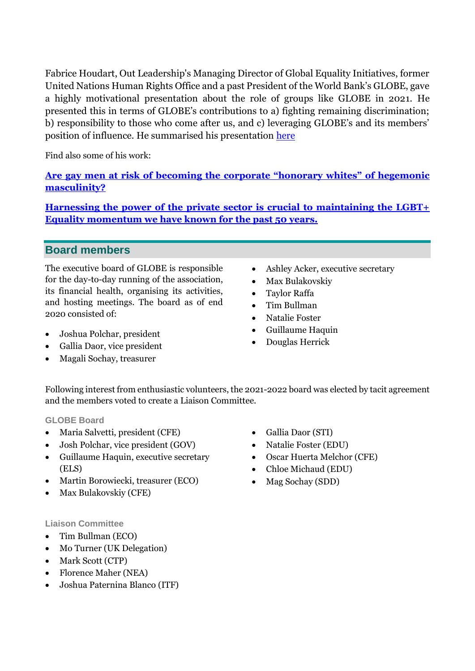Fabrice Houdart, Out Leadership's Managing Director of Global Equality Initiatives, former United Nations Human Rights Office and a past President of the World Bank's GLOBE, gave a highly motivational presentation about the role of groups like GLOBE in 2021. He presented this in terms of GLOBE's contributions to a) fighting remaining discrimination; b) responsibility to those who come after us, and c) leveraging GLOBE's and its members' position of influence. He summarised his presentation [here](https://outleadership.com/insights/why-join-lgbtq-employee-resource-group/)

Find also some of his work:

**Are gay men at risk of b[ecoming the corporate "honorary whites" of hegemonic](https://www.linkedin.com/pulse/gay-men-risk-becoming-corporate-honorary-whites-fabrice-houdart/)  [masculinity?](https://www.linkedin.com/pulse/gay-men-risk-becoming-corporate-honorary-whites-fabrice-houdart/)**

**[Harnessing the power of the private sector is crucial to maintaining the LGBT+](https://www.prnewswire.com/news-releases/harnessing-the-power-of-the-private-sector-is-crucial-to-maintaining-the-lgbt-equality-momentum-we-have-known-for-the-past-50-years-300987287.html)  [Equality momentum we have known for the past 50 years.](https://www.prnewswire.com/news-releases/harnessing-the-power-of-the-private-sector-is-crucial-to-maintaining-the-lgbt-equality-momentum-we-have-known-for-the-past-50-years-300987287.html)**

### **Board members**

The executive board of GLOBE is responsible for the day-to-day running of the association, its financial health, organising its activities, and hosting meetings. The board as of end 2020 consisted of:

- Joshua Polchar, president
- Gallia Daor, vice president
- Magali Sochay, treasurer
- Ashley Acker, executive secretary
- Max Bulakovskiy
- Taylor Raffa
- Tim Bullman
- Natalie Foster
- Guillaume Haquin
- Douglas Herrick

Following interest from enthusiastic volunteers, the 2021-2022 board was elected by tacit agreement and the members voted to create a Liaison Committee.

**GLOBE Board** 

- Maria Salvetti, president (CFE)
- Josh Polchar, vice president (GOV)
- Guillaume Haquin, executive secretary (ELS)
- Martin Borowiecki, treasurer (ECO)
- Max Bulakovskiy (CFE)

#### **Liaison Committee**

- Tim Bullman (ECO)
- Mo Turner (UK Delegation)
- Mark Scott (CTP)
- Florence Maher (NEA)
- Joshua Paternina Blanco (ITF)
- Gallia Daor (STI)
- Natalie Foster (EDU)
- Oscar Huerta Melchor (CFE)
- Chloe Michaud (EDU)
- Mag Sochay (SDD)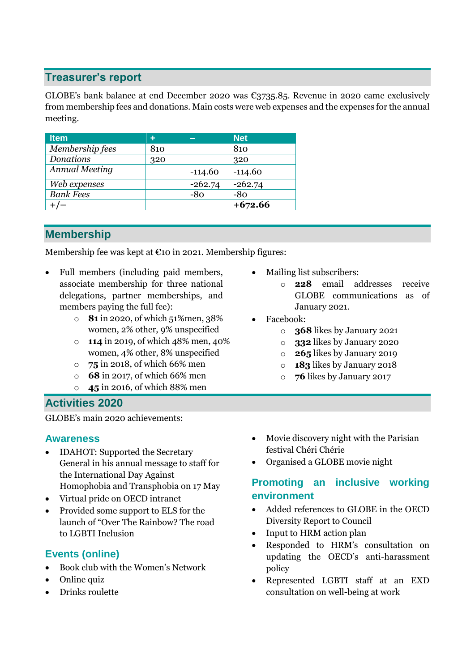### **Treasurer's report**

GLOBE's bank balance at end December 2020 was €3735.85. Revenue in 2020 came exclusively from membership fees and donations. Main costs were web expenses and the expenses for the annual meeting.

| <b>Item</b>           | ٠   |           | <b>Net</b> |
|-----------------------|-----|-----------|------------|
| Membership fees       | 810 |           | 810        |
| <b>Donations</b>      | 320 |           | 320        |
| <b>Annual Meeting</b> |     | $-114.60$ | $-114.60$  |
| Web expenses          |     | $-262.74$ | $-262.74$  |
| <b>Bank Fees</b>      |     | $-80$     | -80        |
|                       |     |           | $+672.66$  |

## **Membership**

Membership fee was kept at €10 in 2021. Membership figures:

- Full members (including paid members, associate membership for three national delegations, partner memberships, and members paying the full fee):
	- o **81** in 2020, of which 51%men, 38% women, 2% other, 9% unspecified
	- o **114** in 2019, of which 48% men, 40% women, 4% other, 8% unspecified
	- o **75** in 2018, of which 66% men
	- o **68** in 2017, of which 66% men
	- o **45** in 2016, of which 88% men

### **Activities 2020**

GLOBE's main 2020 achievements:

#### **Awareness**

- IDAHOT: Supported the Secretary General in his annual message to staff for the International Day Against Homophobia and Transphobia on 17 May
- Virtual pride on OECD intranet
- Provided some support to ELS for the launch of "Over The Rainbow? The road to LGBTI Inclusion

### **Events (online)**

- Book club with the Women's Network
- Online quiz
- Drinks roulette
- Mailing list subscribers:
	- o **228** email addresses receive GLOBE communications as of January 2021.
- Facebook:
	- o **368** likes by January 2021
	- o **332** likes by January 2020
	- o **265** likes by January 2019
	- o **183** likes by January 2018
	- o **76** likes by January 2017
- Movie discovery night with the Parisian festival Chéri Chérie
- Organised a GLOBE movie night

### **Promoting an inclusive working environment**

- Added references to GLOBE in the OECD Diversity Report to Council
- Input to HRM action plan
- Responded to HRM's consultation on updating the OECD's anti-harassment policy
- Represented LGBTI staff at an EXD consultation on well-being at work